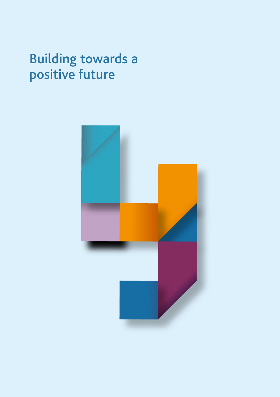# Building towards a positive future

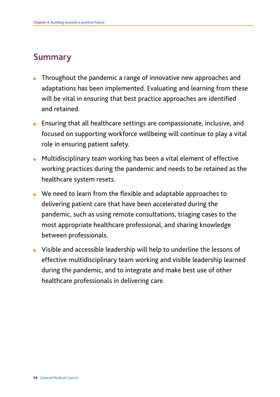# Summary

- Throughout the pandemic a range of innovative new approaches and adaptations has been implemented. Evaluating and learning from these will be vital in ensuring that best practice approaches are identified and retained.
- Ensuring that all healthcare settings are compassionate, inclusive, and focused on supporting workforce wellbeing will continue to play a vital role in ensuring patient safety.
- Multidisciplinary team working has been a vital element of effective working practices during the pandemic and needs to be retained as the healthcare system resets.
- We need to learn from the flexible and adaptable approaches to delivering patient care that have been accelerated during the pandemic, such as using remote consultations, triaging cases to the most appropriate healthcare professional, and sharing knowledge between professionals.
- Visible and accessible leadership will help to underline the lessons of effective multidisciplinary team working and visible leadership learned during the pandemic, and to integrate and make best use of other healthcare professionals in delivering care.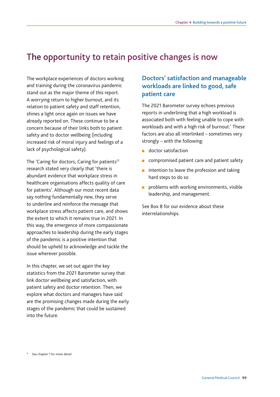# The opportunity to retain positive changes is now

stand out as the major theme of this report. The workplace experiences of doctors working and training during the coronavirus pandemic A worrying return to higher burnout, and its relation to patient safety and staff retention, shines a light once again on issues we have already reported on. These continue to be a concern because of their links both to patient safety and to doctor wellbeing (including increased risk of moral injury and feelings of a lack of psychological safety).

The 'Caring for doctors, Caring for patients'2 research stated very clearly that 'there is abundant evidence that workplace stress in healthcare organisations affects quality of care for patients'. Although our most recent data say nothing fundamentally new, they serve to underline and reinforce the message that workplace stress affects patient care, and shows the extent to which it remains true in 2021. In this way, the emergence of more compassionate approaches to leadership during the early stages of the pandemic is a positive intention that should be upheld to acknowledge and tackle the issue wherever possible.

In this chapter, we set out again the key statistics from the 2021 Barometer survey that link doctor wellbeing and satisfaction, with patient safety and doctor retention. Then, we explore what doctors and managers have said are the promising changes made during the early stages of the pandemic that could be sustained into the future.

# **Doctors' satisfaction and manageable workloads are linked to good, safe patient care**

The 2021 Barometer survey echoes previous reports in underlining that a high workload is associated both with feeling unable to cope with workloads and with a high risk of burnout.\* These factors are also all interlinked – sometimes very strongly – with the following:

- doctor satisfaction
- $\overline{a}$ compromised patient care and patient safety
- intention to leave the profession and taking hard steps to do so
- problems with working environments, visible leadership, and management.

See Box 8 for our evidence about these interrelationships.

\* See chapter 1 for more detail.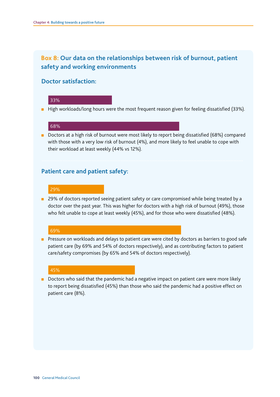# **Box 8: Our data on the relationships between risk of burnout, patient safety and working environments**

### **Doctor satisfaction:**

#### 33%

■ High workloads/long hours were the most frequent reason given for feeling dissatisfied (33%).

#### 68%

■ Doctors at a high risk of burnout were most likely to report being dissatisfied (68%) compared with those with a very low risk of burnout (4%), and more likely to feel unable to cope with their workload at least weekly (44% vs 12%).

### **Patient care and patient safety:**

#### 29%

■ 29% of doctors reported seeing patient safety or care compromised while being treated by a doctor over the past year. This was higher for doctors with a high risk of burnout (49%), those who felt unable to cope at least weekly (45%), and for those who were dissatisfied (48%).

#### 69%

■ Pressure on workloads and delays to patient care were cited by doctors as barriers to good safe patient care (by 69% and 54% of doctors respectively), and as contributing factors to patient care/safety compromises (by 65% and 54% of doctors respectively).

#### 45%

■ Doctors who said that the pandemic had a negative impact on patient care were more likely to report being dissatisfed (45%) than those who said the pandemic had a positive effect on patient care (8%).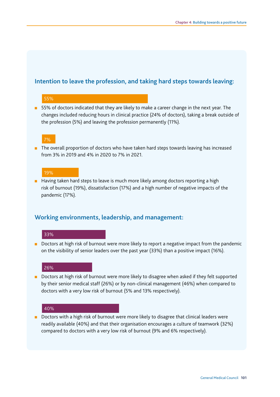### **Intention to leave the profession, and taking hard steps towards leaving:**

#### 55%

■ 55% of doctors indicated that they are likely to make a career change in the next year. The changes included reducing hours in clinical practice (24% of doctors), taking a break outside of the profession (5%) and leaving the profession permanently (11%).

#### 7%

■ The overall proportion of doctors who have taken hard steps towards leaving has increased from 3% in 2019 and 4% in 2020 to 7% in 2021.

#### 19%

■ Having taken hard steps to leave is much more likely among doctors reporting a high risk of burnout (19%), dissatisfaction (17%) and a high number of negative impacts of the pandemic (17%).

### **Working environments, leadership, and management:**

#### 33%

■ Doctors at high risk of burnout were more likely to report a negative impact from the pandemic on the visibility of senior leaders over the past year (33%) than a positive impact (16%).

#### 26%

■ Doctors at high risk of burnout were more likely to disagree when asked if they felt supported by their senior medical staff (26%) or by non-clinical management (46%) when compared to doctors with a very low risk of burnout (5% and 13% respectively).

#### 40%

■ Doctors with a high risk of burnout were more likely to disagree that clinical leaders were readily available (40%) and that their organisation encourages a culture of teamwork (32%) compared to doctors with a very low risk of burnout (9% and 6% respectively).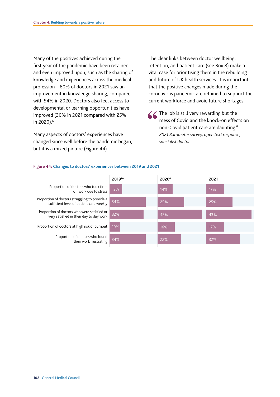Many of the positives achieved during the first year of the pandemic have been retained and even improved upon, such as the sharing of knowledge and experiences across the medical profession – 60% of doctors in 2021 saw an improvement in knowledge sharing, compared with 54% in 2020. Doctors also feel access to developmental or learning opportunities have improved (30% in 2021 compared with 25% in 2020).<sup>6</sup>

Many aspects of doctors' experiences have changed since well before the pandemic began, but it is a mixed picture (Figure 44).

 current workforce and avoid future shortages. The clear links between doctor wellbeing, retention, and patient care (see Box 8) make a vital case for prioritising them in the rebuilding and future of UK health services. It is important that the positive changes made during the coronavirus pandemic are retained to support the

 $\leq$  The job is still very rewarding but the mess of Covid and the knock-on effects on non-Covid patient care are daunting." *2021 Barometer survey, open text response, specialist doctor* 



#### **Figure 44: Changes to doctors' experiences between 2019 and 2021**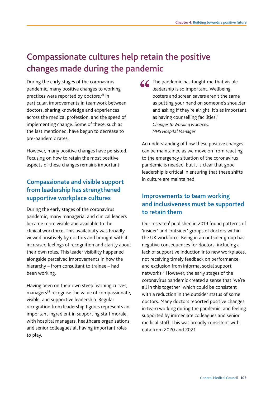# Compassionate cultures help retain the positive changes made during the pandemic

pre-pandemic rates. During the early stages of the coronavirus pandemic, many positive changes to working practices were reported by doctors.<sup>21</sup> in particular, improvements in teamwork between doctors, sharing knowledge and experiences across the medical profession, and the speed of implementing change. Some of these, such as the last mentioned, have begun to decrease to

However, many positive changes have persisted. Focusing on how to retain the most positive aspects of these changes remains important.

# **Compassionate and visible support from leadership has strengthened supportive workplace cultures**

During the early stages of the coronavirus pandemic, many managerial and clinical leaders became more visible and available to the clinical workforce. This availability was broadly viewed positively by doctors and brought with it increased feelings of recognition and clarity about their own roles. This leader visibility happened alongside perceived improvements in how the hierarchy – from consultant to trainee – had been working.

Having been on their own steep learning curves, managers<sup>22</sup> recognise the value of compassionate, visible, and supportive leadership. Regular recognition from leadership fgures represents an important ingredient in supporting staff morale, with hospital managers, healthcare organisations, and senior colleagues all having important roles to play.

The pandemic has taught me that visible leadership is so important. Wellbeing posters and screen savers aren't the same as putting your hand on someone's shoulder and asking if they're alright. It's as important as having counselling facilities." *Changes to Working Practices, NHS Hospital Manager* 

 in culture are maintained. An understanding of how these positive changes can be maintained as we move on from reacting to the emergency situation of the coronavirus pandemic is needed, but it is clear that good leadership is critical in ensuring that these shifts

# **Improvements to team working and inclusiveness must be supported to retain them**

Our research<sup>1</sup> published in 2019 found patterns of 'insider' and 'outsider' groups of doctors within the UK workforce. Being in an outsider group has negative consequences for doctors, including a lack of supportive induction into new workplaces, not receiving timely feedback on performance, and exclusion from informal social support networks.<sup>2</sup> However, the early stages of the coronavirus pandemic created a sense that 'we're all in this together' which could be consistent with a reduction in the outsider status of some doctors. Many doctors reported positive changes in team working during the pandemic, and feeling supported by immediate colleagues and senior medical staff. This was broadly consistent with data from 2020 and 2021.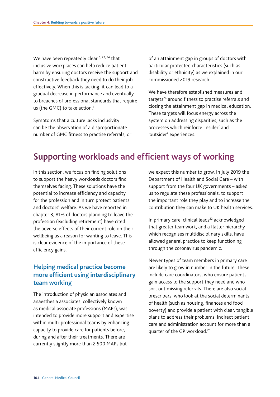us (the GMC) to take action. $1$ We have been repeatedly clear <sup>6, 23, 24</sup> that inclusive workplaces can help reduce patient harm by ensuring doctors receive the support and constructive feedback they need to do their job effectively. When this is lacking, it can lead to a gradual decrease in performance and eventually to breaches of professional standards that require

Symptoms that a culture lacks inclusivity can be the observation of a disproportionate number of GMC fitness to practise referrals, or commissioned 2019 research. of an attainment gap in groups of doctors with particular protected characteristics (such as disability or ethnicity) as we explained in our

We have therefore established measures and targets<sup>24</sup> around fitness to practise referrals and closing the attainment gap in medical education. These targets will focus energy across the system on addressing disparities, such as the processes which reinforce 'insider' and 'outsider' experiences.

# Supporting workloads and efficient ways of working

In this section, we focus on finding solutions to support the heavy workloads doctors fnd themselves facing. These solutions have the potential to increase efficiency and capacity for the profession and in turn protect patients and doctors' welfare. As we have reported in chapter 3, 81% of doctors planning to leave the profession (excluding retirement) have cited the adverse effects of their current role on their wellbeing as a reason for wanting to leave. This is clear evidence of the importance of these efficiency gains.

# **team working Helping medical practice become more efficient using interdisciplinary**

The introduction of physician associates and anaesthesia associates, collectively known as medical associate professions (MAPs), was intended to provide more support and expertise within multi-professional teams by enhancing capacity to provide care for patients before, during and after their treatments. There are currently slightly more than 2,500 MAPs but

we expect this number to grow. In July 2019 the Department of Health and Social Care – with support from the four UK governments – asked us to regulate these professionals, to support the important role they play and to increase the

contribution they can make to UK health services.<br>In primary care, clinical leads<sup>22</sup> acknowledged that greater teamwork, and a flatter hierarchy which recognises multidisciplinary skills, have allowed general practice to keep functioning through the coronavirus pandemic.

Newer types of team members in primary care are likely to grow in number in the future. These include care coordinators, who ensure patients gain access to the support they need and who sort out missing referrals. There are also social prescribers, who look at the social determinants of health (such as housing, fnances and food poverty) and provide a patient with clear, tangible plans to address their problems. Indirect patient care and administration account for more than a quarter of the GP workload.25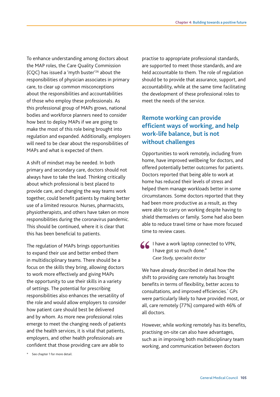To enhance understanding among doctors about the MAP roles, the Care Quality Commission (CQC) has issued a 'myth buster'26 about the responsibilities of physician associates in primary care, to clear up common misconceptions about the responsibilities and accountabilities of those who employ these professionals. As this professional group of MAPs grows, national bodies and workforce planners need to consider how best to deploy MAPs if we are going to make the most of this role being brought into regulation and expanded. Additionally, employers will need to be clear about the responsibilities of MAPs and what is expected of them.

A shift of mindset may be needed. In both primary and secondary care, doctors should not always have to take the lead. Thinking critically about which professional is best placed to provide care, and changing the way teams work together, could benefit patients by making better use of a limited resource. Nurses, pharmacists, physiotherapists, and others have taken on more responsibilities during the coronavirus pandemic. This should be continued, where it is clear that this has been beneficial to patients.

The regulation of MAPs brings opportunities to expand their use and better embed them in multidisciplinary teams. There should be a focus on the skills they bring, allowing doctors to work more effectively and giving MAPs the opportunity to use their skills in a variety of settings. The potential for prescribing responsibilities also enhances the versatility of the role and would allow employers to consider how patient care should best be delivered and by whom. As more new professional roles emerge to meet the changing needs of patients and the health services, it is vital that patients, employers, and other health professionals are confident that those providing care are able to

practise to appropriate professional standards, are supported to meet those standards, and are held accountable to them. The role of regulation should be to provide that assurance, support, and accountability, while at the same time facilitating the development of these professional roles to meet the needs of the service.

# **Remote working can provide efficient ways of working, and help work-life balance, but is not without challenges**

Opportunities to work remotely, including from home, have improved wellbeing for doctors, and offered potentially better outcomes for patients. Doctors reported that being able to work at home has reduced their levels of stress and helped them manage workloads better in some circumstances. Some doctors reported that they had been more productive as a result, as they were able to carry on working despite having to shield themselves or family. Some had also been able to reduce travel time or have more focused time to review cases.

△ I have a work laptop connected to VPN, I have got so much done." *Case Study, specialist doctor* 

We have already described in detail how the shift to providing care remotely has brought benefits in terms of flexibility, better access to consultations, and improved efficiencies.\* GPs were particularly likely to have provided most, or all, care remotely (77%) compared with 46% of all doctors.

However, while working remotely has its benefits, practising on-site can also have advantages, such as in improving both multidisciplinary team working, and communication between doctors

\* See chapter 1 for more detail.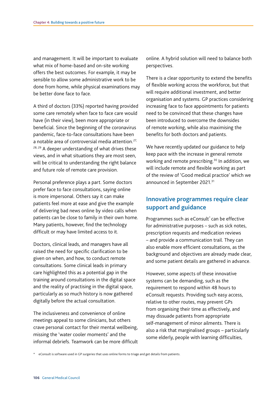and management. It will be important to evaluate online. A hybrid solution will need to balance both what mix of home-based and on-site working offers the best outcomes. For example, it may be sensible to allow some administrative work to be done from home, while physical examinations may be better done face to face.

A third of doctors (33%) reported having provided some care remotely when face to face care would have (in their view), been more appropriate or beneficial. Since the beginning of the coronavirus pandemic, face-to-face consultations have been a notable area of controversial media attention.<sup>27,</sup> 28, 29 A deeper understanding of what drives these views, and in what situations they are most seen, will be critical to understanding the right balance and future role of remote care provision.

difficult or may have limited access to it. Personal preference plays a part. Some doctors prefer face to face consultations, saying online is more impersonal. Others say it can make patients feel more at ease and give the example of delivering bad news online by video calls when patients can be close to family in their own home. Many patients, however, find the technology

Doctors, clinical leads, and managers have all raised the need for specific clarification to be given on when, and how, to conduct remote consultations. Some clinical leads in primary care highlighted this as a potential gap in the training around consultations in the digital space and the reality of practising in the digital space, particularly as so much history is now gathered digitally before the actual consultation.

The inclusiveness and convenience of online meetings appeal to some clinicians, but others crave personal contact for their mental wellbeing, missing the 'water cooler moments' and the informal debriefs. Teamwork can be more difficult perspectives.

There is a clear opportunity to extend the benefits of flexible working across the workforce, but that will require additional investment, and better organisation and systems. GP practices considering increasing face to face appointments for patients need to be convinced that these changes have been introduced to overcome the downsides of remote working, while also maximising the benefits for both doctors and patients.

announced in September 2021.<sup>31</sup> We have recently updated our guidance to help keep pace with the increase in general remote working and remote prescribing.<sup>30</sup> In addition, we will include remote and flexible working as part of the review of 'Good medical practice' which we

## **Innovative programmes require clear support and guidance**

Programmes such as eConsult<sup>\*</sup> can be effective for administrative purposes – such as sick notes, prescription requests and medication reviews – and provide a communication trail. They can also enable more efficient consultations, as the background and objectives are already made clear, and some patient details are gathered in advance.

However, some aspects of these innovative systems can be demanding, such as the requirement to respond within 48 hours to eConsult requests. Providing such easy access, relative to other routes, may prevent GPs from organising their time as effectively, and may dissuade patients from appropriate self-management of minor ailments. There is also a risk that marginalised groups – particularly some elderly, people with learning difficulties,

\* eConsult is software used in GP surgeries that uses online forms to triage and get details from patients.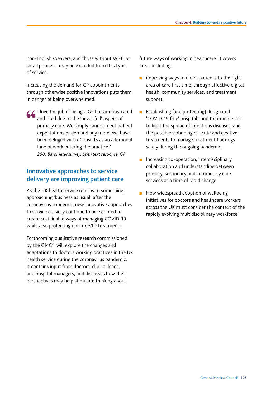non-English speakers, and those without Wi-Fi or smartphones – may be excluded from this type of service.

Increasing the demand for GP appointments through otherwise positive innovations puts them in danger of being overwhelmed.

I love the job of being a GP but am frustrated and tired due to the 'never full' aspect of primary care. We simply cannot meet patient expectations or demand any more. We have been deluged with eConsults as an additional lane of work entering the practice." *2001 Barometer survey, open text response, GP* 

### **Innovative approaches to service delivery are improving patient care**

As the UK health service returns to something approaching 'business as usual' after the coronavirus pandemic, new innovative approaches to service delivery continue to be explored to create sustainable ways of managing COVID-19 while also protecting non-COVID treatments.

Forthcoming qualitative research commissioned by the GMC<sup>22</sup> will explore the changes and adaptations to doctors working practices in the UK health service during the coronavirus pandemic. It contains input from doctors, clinical leads, and hospital managers, and discusses how their perspectives may help stimulate thinking about

future ways of working in healthcare. It covers areas including:

- improving ways to direct patients to the right area of care frst time, through effective digital health, community services, and treatment support.
- Establishing (and protecting) designated 'COVID-19 free' hospitals and treatment sites to limit the spread of infectious diseases, and the possible siphoning of acute and elective treatments to manage treatment backlogs safely during the ongoing pandemic.
- Increasing co-operation, interdisciplinary collaboration and understanding between primary, secondary and community care services at a time of rapid change.
- How widespread adoption of wellbeing initiatives for doctors and healthcare workers across the UK must consider the context of the rapidly evolving multidisciplinary workforce.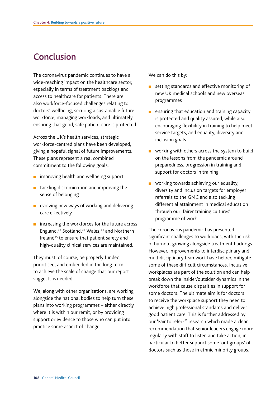# Conclusion

The coronavirus pandemic continues to have a wide-reaching impact on the healthcare sector, especially in terms of treatment backlogs and access to healthcare for patients. There are also workforce-focused challenges relating to doctors' wellbeing, securing a sustainable future workforce, managing workloads, and ultimately ensuring that good, safe patient care is protected.

Across the UK's health services, strategic workforce-centred plans have been developed, giving a hopeful signal of future improvements. These plans represent a real combined commitment to the following goals:

- improving health and wellbeing support
- tackling discrimination and improving the sense of belonging
- evolving new ways of working and delivering care effectively
- increasing the workforces for the future across England,<sup>32</sup> Scotland,<sup>33</sup> Wales,<sup>34</sup> and Northern Ireland<sup>35</sup> to ensure that patient safety and high-quality clinical services are maintained.

They must, of course, be properly funded, prioritised, and embedded in the long term to achieve the scale of change that our report suggests is needed.

We, along with other organisations, are working alongside the national bodies to help turn these plans into working programmes – either directly where it is within our remit, or by providing support or evidence to those who can put into practice some aspect of change.

We can do this by:

- $\mathbf{r}$ setting standards and effective monitoring of new UK medical schools and new overseas programmes
- ensuring that education and training capacity is protected and quality assured, while also encouraging flexibility in training to help meet service targets, and equality, diversity and inclusion goals
- working with others across the system to build on the lessons from the pandemic around preparedness, progression in training and support for doctors in training
- working towards achieving our equality, diversity and inclusion targets for employer referrals to the GMC and also tackling differential attainment in medical education through our 'fairer training cultures' programme of work.

The coronavirus pandemic has presented significant challenges to workloads, with the risk of burnout growing alongside treatment backlogs. However, improvements to interdisciplinary and multidisciplinary teamwork have helped mitigate some of these difficult circumstances. Inclusive workplaces are part of the solution and can help break down the insider/outsider dynamics in the workforce that cause disparities in support for some doctors. The ultimate aim is for doctors to receive the workplace support they need to achieve high professional standards and deliver good patient care. This is further addressed by our 'Fair to refer?'<sup>1</sup> research which made a clear recommendation that senior leaders engage more regularly with staff to listen and take action, in particular to better support some 'out groups' of doctors such as those in ethnic minority groups.